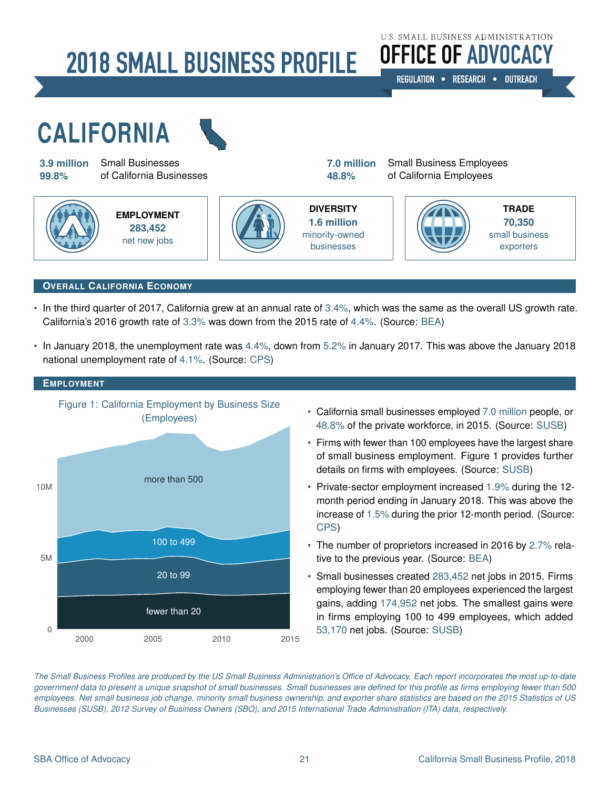# **2018 SMALL BUSINESS PROFILE**



REGULATION • RESEARCH • OUTREACH



## **OVERALL CALIFORNIA ECONOMY**

- • In the third quarter of 2017, California grew at an annual rate of [3.4%,](#page-3-0) which was the same as the overall US growth rate. California's 2016 growth rate of [3.3%](#page-3-0) was down from the 2015 rate of [4.4%.](#page-3-0) (Source: [BEA\)](#page-3-0)
- • In January 2018, the unemployment rate was [4.4%,](#page-3-0) down from [5.2%](#page-3-0) in January 2017. This was above the January 2018 national unemployment rate of [4.1%.](#page-3-0) (Source: [CPS\)](#page-3-0)





- • California small businesses employed [7.0 million](#page-3-0) people, or [48.8%](#page-3-0) of the private workforce, in 2015. (Source: [SUSB\)](#page-3-0)
- Firms with fewer than 100 employees have the largest share of small business employment. Figure 1 provides further details on firms with employees. (Source: [SUSB\)](#page-3-0)
- Private-sector employment increased [1.9%](#page-3-0) during the 12month period ending in January 2018. This was above the increase of [1.5%](#page-3-0) during the prior 12-month period. (Source: [CPS\)](#page-3-0)
- The number of proprietors increased in 2016 by [2.7%](#page-3-0) relative to the previous year. (Source: [BEA\)](#page-3-0)
- Small businesses created [283,452](#page-3-0) net jobs in 2015. Firms employing fewer than 20 employees experienced the largest gains, adding [174,952](#page-3-0) net jobs. The smallest gains were in firms employing 100 to 499 employees, which added [53,170](#page-3-0) net jobs. (Source: [SUSB\)](#page-3-0)

*The Small Business Profiles are produced by the US Small Business Administration's Office of Advocacy. Each report incorporates the most up-to-date government data to present a unique snapshot of small businesses. Small businesses are defined for this profile as firms employing fewer than 500 employees. Net small business job change, minority small business ownership, and exporter share statistics are based on the 2015 Statistics of US Businesses (SUSB), 2012 Survey of Business Owners (SBO), and 2015 International Trade Administration (ITA) data, respectively.*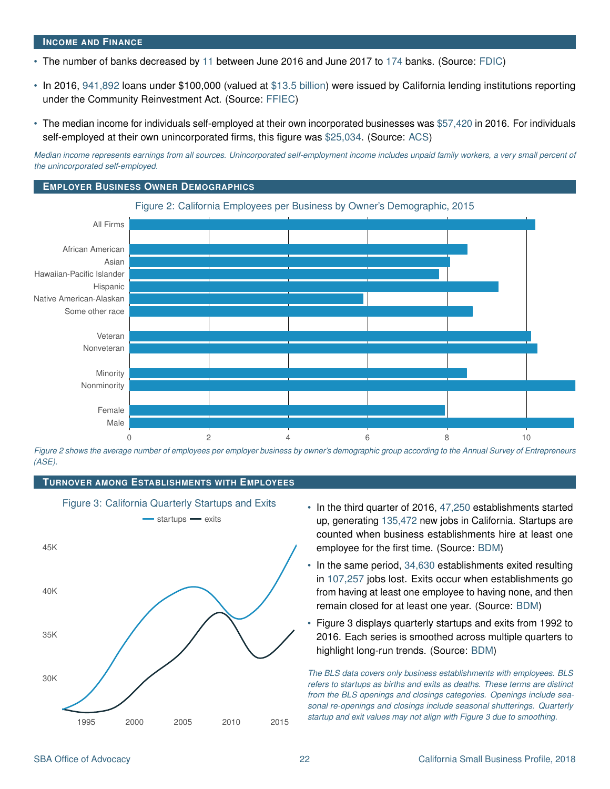#### **INCOME AND FINANCE**

- • The number of banks decreased by [11](#page-3-0) between June 2016 and June 2017 to [174](#page-3-0) banks. (Source: [FDIC\)](#page-3-0)
- • In 2016, [941,892](#page-3-0) loans under \$100,000 (valued at [\\$13.5 billion\)](#page-3-0) were issued by California lending institutions reporting under the Community Reinvestment Act. (Source: [FFIEC\)](#page-3-0)
- • The median income for individuals self-employed at their own incorporated businesses was [\\$57,420](#page-3-0) in 2016. For individuals self-employed at their own unincorporated firms, this figure was [\\$25,034.](#page-3-0) (Source: [ACS\)](#page-3-0)

*Median income represents earnings from all sources. Unincorporated self-employment income includes unpaid family workers, a very small percent of the unincorporated self-employed.* 

#### **EMPLOYER BUSINESS OWNER DEMOGRAPHICS**



*Figure 2 shows the average number of employees per employer business by owner's demographic group according to the Annual Survey of Entrepreneurs (ASE).* 

## **TURNOVER AMONG ESTABLISHMENTS WITH EMPLOYEES**



- In the third quarter of 2016, [47,250](#page-3-0) establishments started up, generating [135,472](#page-3-0) new jobs in California. Startups are counted when business establishments hire at least one employee for the first time. (Source: [BDM\)](#page-3-0)
- In the same period, [34,630](#page-3-0) establishments exited resulting in [107,257](#page-3-0) jobs lost. Exits occur when establishments go from having at least one employee to having none, and then remain closed for at least one year. (Source: [BDM\)](#page-3-0)
- Figure 3 displays quarterly startups and exits from 1992 to 2016. Each series is smoothed across multiple quarters to highlight long-run trends. (Source: [BDM\)](#page-3-0)

*The BLS data covers only business establishments with employees. BLS refers to startups as births and exits as deaths. These terms are distinct from the BLS openings and closings categories. Openings include seasonal re-openings and closings include seasonal shutterings. Quarterly startup and exit values may not align with Figure 3 due to smoothing.*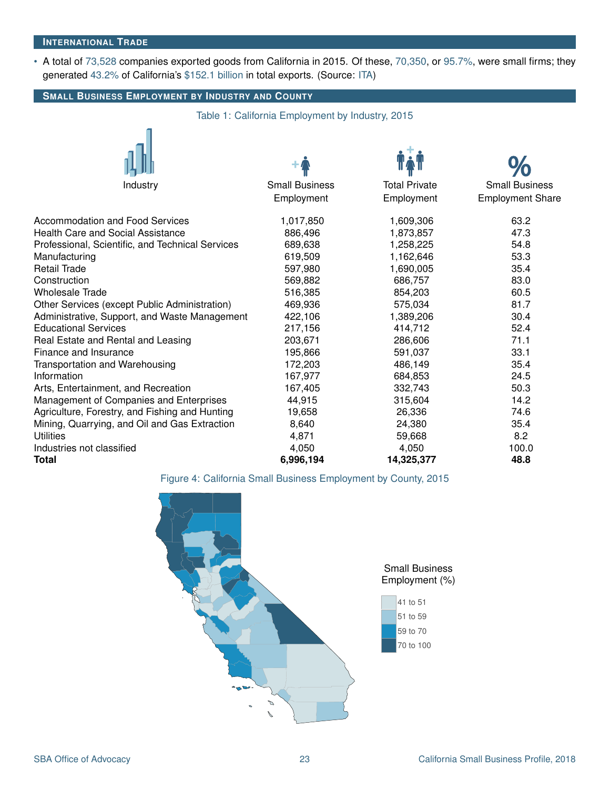#### **INTERNATIONAL TRADE**

• A total of [73,528](#page-3-0) companies exported goods from California in 2015. Of these, [70,350,](#page-3-0) or [95.7%,](#page-3-0) were small firms; they generated [43.2%](#page-3-0) of California's [\\$152.1 billion](#page-3-0) in total exports. (Source: [ITA\)](#page-3-0)

## **SMALL BUSINESS EMPLOYMENT BY INDUSTRY AND COUNTY**

Table 1: California Employment by Industry, 2015

| Industry                                         | <b>Small Business</b> | <b>Total Private</b> | <b>Small Business</b>   |
|--------------------------------------------------|-----------------------|----------------------|-------------------------|
|                                                  | Employment            | Employment           | <b>Employment Share</b> |
| Accommodation and Food Services                  | 1,017,850             | 1,609,306            | 63.2                    |
| <b>Health Care and Social Assistance</b>         | 886,496               | 1,873,857            | 47.3                    |
| Professional, Scientific, and Technical Services | 689,638               | 1,258,225            | 54.8                    |
| Manufacturing                                    | 619,509               | 1,162,646            | 53.3                    |
| <b>Retail Trade</b>                              | 597,980               | 1,690,005            | 35.4                    |
| Construction                                     | 569,882               | 686,757              | 83.0                    |
| <b>Wholesale Trade</b>                           | 516,385               | 854,203              | 60.5                    |
| Other Services (except Public Administration)    | 469,936               | 575,034              | 81.7                    |
| Administrative, Support, and Waste Management    | 422,106               | 1,389,206            | 30.4                    |
| <b>Educational Services</b>                      | 217,156               | 414,712              | 52.4                    |
| Real Estate and Rental and Leasing               | 203,671               | 286,606              | 71.1                    |
| Finance and Insurance                            | 195,866               | 591,037              | 33.1                    |
| Transportation and Warehousing                   | 172,203               | 486,149              | 35.4                    |
| Information                                      | 167,977               | 684,853              | 24.5                    |
| Arts, Entertainment, and Recreation              | 167,405               | 332,743              | 50.3                    |
| Management of Companies and Enterprises          | 44,915                | 315,604              | 14.2                    |
| Agriculture, Forestry, and Fishing and Hunting   | 19,658                | 26,336               | 74.6                    |
| Mining, Quarrying, and Oil and Gas Extraction    | 8,640                 | 24,380               | 35.4                    |
| Utilities                                        | 4,871                 | 59,668               | 8.2                     |
| Industries not classified                        | 4,050                 | 4,050                | 100.0                   |
| <b>Total</b>                                     | 6,996,194             | 14,325,377           | 48.8                    |

### Figure 4: California Small Business Employment by County, 2015